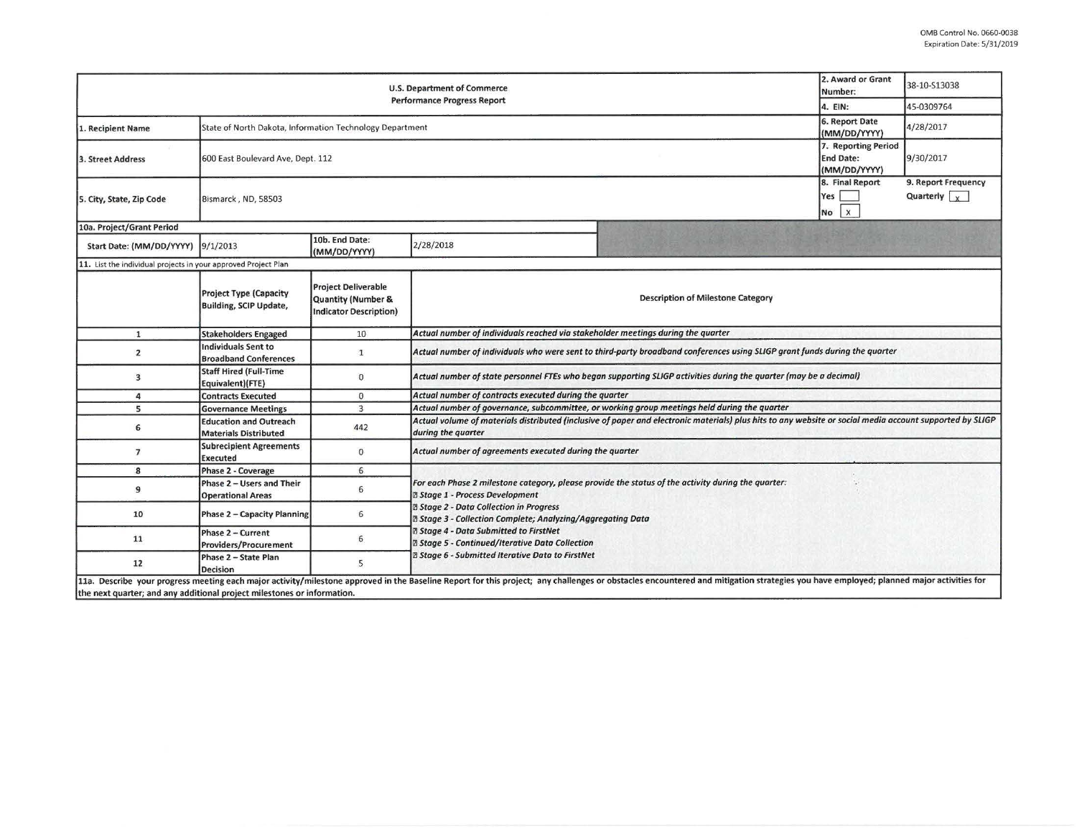| <b>U.S. Department of Commerce</b><br><b>Performance Progress Report</b> |                                                                       |                                                                                   |                                                                                                                                                                                                                                                                                                                                                                          |                                                                                                                                                                                                                                | 2. Award or Grant<br>38-10-513038<br>Number:          |                                             |  |  |  |
|--------------------------------------------------------------------------|-----------------------------------------------------------------------|-----------------------------------------------------------------------------------|--------------------------------------------------------------------------------------------------------------------------------------------------------------------------------------------------------------------------------------------------------------------------------------------------------------------------------------------------------------------------|--------------------------------------------------------------------------------------------------------------------------------------------------------------------------------------------------------------------------------|-------------------------------------------------------|---------------------------------------------|--|--|--|
|                                                                          |                                                                       |                                                                                   |                                                                                                                                                                                                                                                                                                                                                                          |                                                                                                                                                                                                                                | 4. EIN:                                               | 45-0309764                                  |  |  |  |
| 1. Recipient Name                                                        | State of North Dakota, Information Technology Department              |                                                                                   |                                                                                                                                                                                                                                                                                                                                                                          |                                                                                                                                                                                                                                | 6. Report Date<br>(MM/DD/YYYY)<br>7. Reporting Period | 4/28/2017                                   |  |  |  |
| 3. Street Address                                                        | <b>End Date:</b><br>600 East Boulevard Ave, Dept. 112<br>(MM/DD/YYYY) |                                                                                   |                                                                                                                                                                                                                                                                                                                                                                          |                                                                                                                                                                                                                                |                                                       | 9/30/2017                                   |  |  |  |
| 5. City, State, Zip Code                                                 | 8. Final Report<br>Bismarck, ND, 58503<br>No                          |                                                                                   |                                                                                                                                                                                                                                                                                                                                                                          |                                                                                                                                                                                                                                |                                                       | 9. Report Frequency<br>Quarterly $\sqrt{x}$ |  |  |  |
| 10a. Project/Grant Period                                                |                                                                       |                                                                                   |                                                                                                                                                                                                                                                                                                                                                                          |                                                                                                                                                                                                                                |                                                       |                                             |  |  |  |
| Start Date: (MM/DD/YYYY)                                                 | 9/1/2013                                                              | 10b. End Date:<br>(MM/DD/YYYY)                                                    | 2/28/2018                                                                                                                                                                                                                                                                                                                                                                |                                                                                                                                                                                                                                |                                                       |                                             |  |  |  |
| 11. List the individual projects in your approved Project Plan           |                                                                       |                                                                                   |                                                                                                                                                                                                                                                                                                                                                                          |                                                                                                                                                                                                                                |                                                       |                                             |  |  |  |
|                                                                          | <b>Project Type (Capacity</b><br><b>Building, SCIP Update,</b>        | <b>Project Deliverable</b><br>Quantity (Number &<br><b>Indicator Description)</b> | <b>Description of Milestone Category</b>                                                                                                                                                                                                                                                                                                                                 |                                                                                                                                                                                                                                |                                                       |                                             |  |  |  |
| $\mathbf{1}$                                                             | <b>Stakeholders Engaged</b>                                           | 10                                                                                | Actual number of individuals reached via stakeholder meetings during the quarter                                                                                                                                                                                                                                                                                         |                                                                                                                                                                                                                                |                                                       |                                             |  |  |  |
| $\overline{2}$                                                           | <b>Individuals Sent to</b><br><b>Broadband Conferences</b>            | $\mathbf{1}$                                                                      | Actual number of individuals who were sent to third-party broadband conferences using SLIGP grant funds during the quarter                                                                                                                                                                                                                                               |                                                                                                                                                                                                                                |                                                       |                                             |  |  |  |
| 3                                                                        | <b>Staff Hired (Full-Time</b><br>Equivalent)(FTE)                     | $\mathbf 0$                                                                       | Actual number of state personnel FTEs who began supporting SLIGP activities during the quarter (may be a decimal)                                                                                                                                                                                                                                                        |                                                                                                                                                                                                                                |                                                       |                                             |  |  |  |
| 4                                                                        | <b>Contracts Executed</b>                                             | $\mathbf{0}$                                                                      | Actual number of contracts executed during the quarter                                                                                                                                                                                                                                                                                                                   |                                                                                                                                                                                                                                |                                                       |                                             |  |  |  |
| 5                                                                        | <b>Governance Meetings</b>                                            | $\overline{3}$                                                                    | Actual number of governance, subcommittee, or working group meetings held during the quarter                                                                                                                                                                                                                                                                             |                                                                                                                                                                                                                                |                                                       |                                             |  |  |  |
| 6                                                                        | <b>Education and Outreach</b><br><b>Materials Distributed</b>         | 442                                                                               | Actual volume of materials distributed (inclusive of paper and electronic materials) plus hits to any website or social media account supported by SLIGP<br>during the quarter                                                                                                                                                                                           |                                                                                                                                                                                                                                |                                                       |                                             |  |  |  |
| $\overline{7}$                                                           | <b>Subrecipient Agreements</b><br><b>Executed</b>                     | $\Omega$                                                                          | Actual number of agreements executed during the quarter                                                                                                                                                                                                                                                                                                                  |                                                                                                                                                                                                                                |                                                       |                                             |  |  |  |
| 8                                                                        | Phase 2 - Coverage                                                    | 6                                                                                 |                                                                                                                                                                                                                                                                                                                                                                          |                                                                                                                                                                                                                                |                                                       |                                             |  |  |  |
| 9                                                                        | Phase 2 - Users and Their<br><b>Operational Areas</b>                 | 6                                                                                 | For each Phase 2 milestone category, please provide the status of the activity during the quarter:<br><b>2 Stage 1 - Process Development</b><br><b>Ø Stage 2 - Data Collection in Progress</b><br>® Stage 3 - Collection Complete; Analyzing/Aggregating Data<br><b>Z Stage 4 - Data Submitted to FirstNet</b><br><b>Z Stage 5 - Continued/Iterative Data Collection</b> |                                                                                                                                                                                                                                |                                                       |                                             |  |  |  |
| 10                                                                       | Phase 2 - Capacity Planning                                           | 6                                                                                 |                                                                                                                                                                                                                                                                                                                                                                          |                                                                                                                                                                                                                                |                                                       |                                             |  |  |  |
| 11                                                                       | Phase 2 - Current<br><b>Providers/Procurement</b>                     | 6                                                                                 |                                                                                                                                                                                                                                                                                                                                                                          |                                                                                                                                                                                                                                |                                                       |                                             |  |  |  |
| 12                                                                       | Phase 2 - State Plan<br><b>Decision</b>                               | 5                                                                                 | <b>2 Stage 6 - Submitted Iterative Data to FirstNet</b>                                                                                                                                                                                                                                                                                                                  |                                                                                                                                                                                                                                |                                                       |                                             |  |  |  |
| the next quarter; and any additional project milestones or information.  |                                                                       |                                                                                   |                                                                                                                                                                                                                                                                                                                                                                          | 11a. Describe your progress meeting each major activity/milestone approved in the Baseline Report for this project; any challenges or obstacles encountered and mitigation strategies you have employed; planned major activit |                                                       |                                             |  |  |  |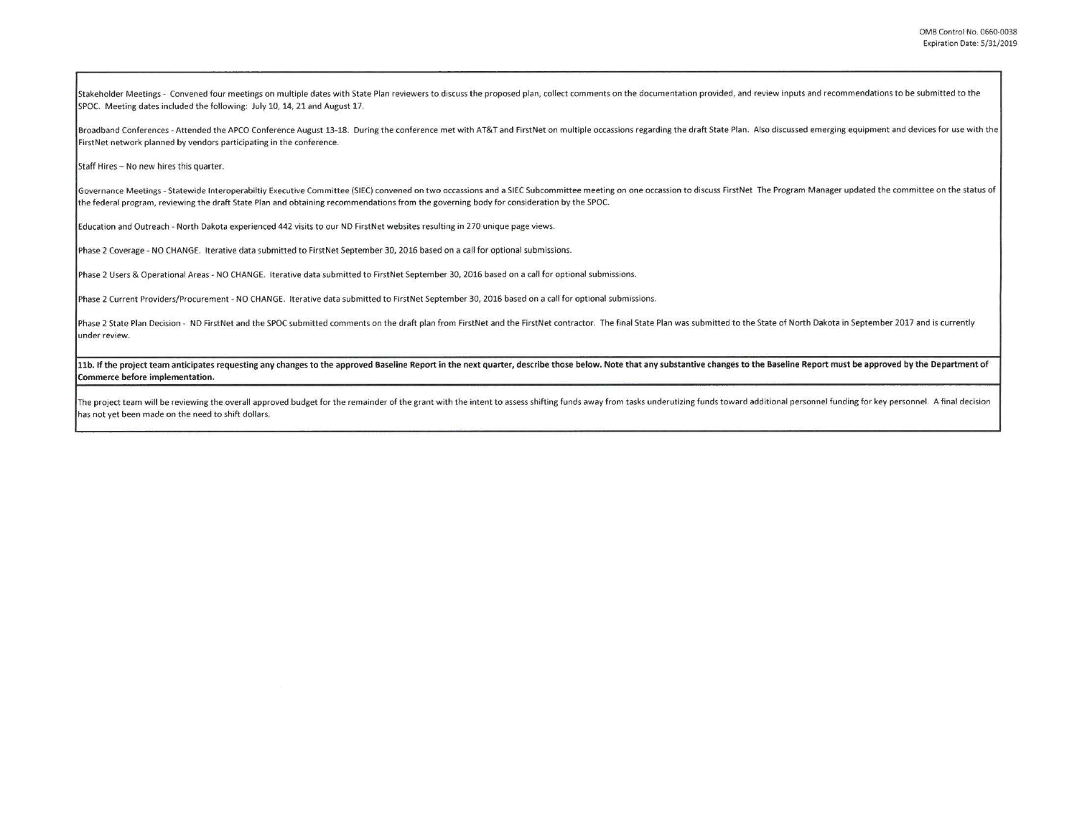Stakeholder Meetings - Convened four meetings on multiple dates with State Plan reviewers to discuss the proposed plan, collect comments on the documentation provided, and review inputs and recommendations to be submitted SPOC. Meeting dates included the following: July 10, 14, 21 and August 17.

Broadband Conferences - Attended the APCO Conference August 13-18. During the conference met with AT&T and FirstNet on multiple occassions regarding the draft State Plan. Also discussed emerging equipment and devices for u FirstNet network planned by vendors participating in the conference.

Staff Hires - No new hires this quarter.

Governance Meetings - Statewide Interoperabiltiy Executive Committee (SIEC) convened on two occassions and a SIEC Subcommittee meeting on one occassion to discuss FirstNet The Program Manager updated the committee on the s the federal program, reviewing the draft State Plan and obtaining recommendations from the governing body for consideration by the SPOC.

Education and Outreach - North Dakota experienced 442 visits to our ND FirstNet websites resulting in 270 unique page views.

Phase 2 Coverage - NO CHANGE. Iterative data submitted to FirstNet September 30, 2016 based on a call for optional submissions.

Phase 2 Users & Operational Areas - NO CHANGE. Iterative data submitted to First Net September 30, 2016 based on a call for optional submissions.

Phase 2 Current Providers/Procurement - NO CHANGE. Iterative data submitted to FirstNet September 30, 2016 based on a call for optional submissions.

Phase 2 State Plan Decision - ND FirstNet and the SPOC submitted comments on the draft plan from FirstNet and the FirstNet contractor. The final State Plan was submitted to the State of North Dakota in September 2017 and i **under review.** 

11b. If the project team anticipates requesting any changes to the approved Baseline Report in the next quarter, describe those below. Note that any substantive changes to the Baseline Report must be approved by the Depart Commerce before implementation.

The project team will be reviewing the overall approved budget for the remainder of the grant with the intent to assess shifting funds away from tasks underutizing funds toward additional personnel funding for key personne has not yet been made on the need to shift dollars.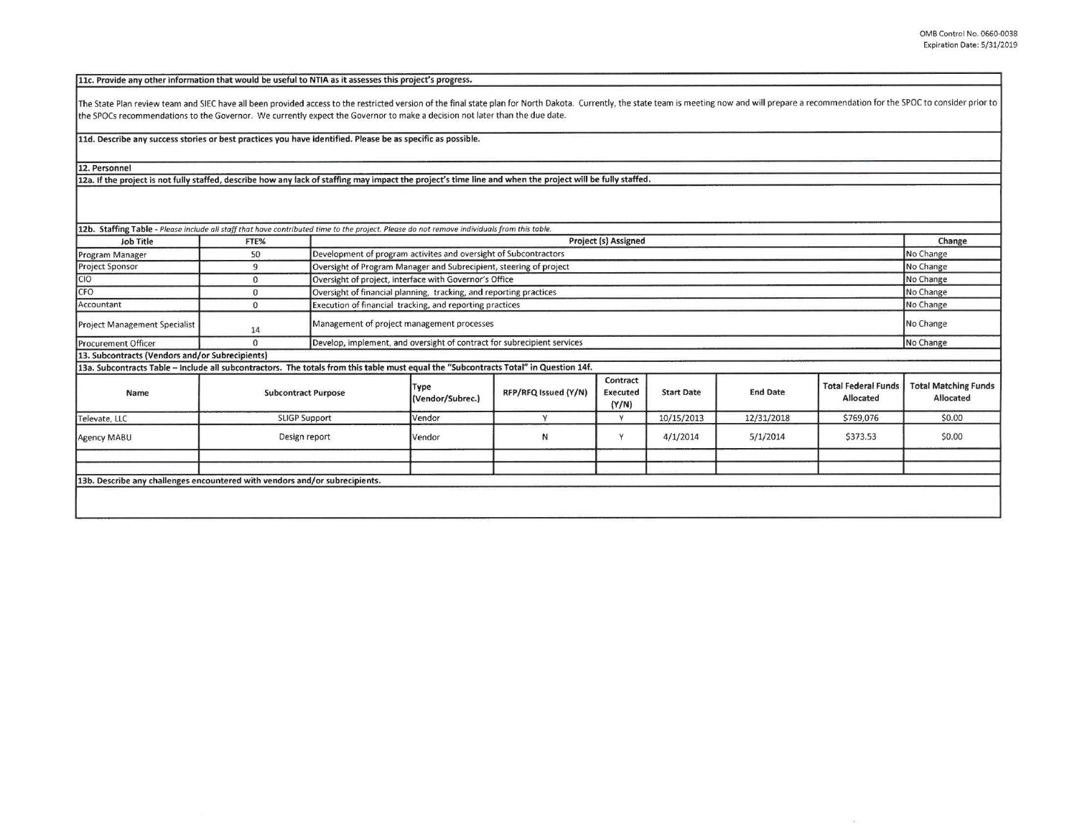Side of

11c. Provide any other information that would be useful to NTIA as it assesses this project's progress.

The State Plan review team and SIEC have all been provided access to the restricted version of the final state plan for North Dakota. Currently, the state team is meeting now and will prepare a recommendation for the SPOC the SPOCs recommendations to the Governor. We currently expect the Governor to make a decision not later than the due date.

**lld. Describe any success stories or best practices you have identified. Please be as specific as possible,** 

**12. Personnel** 

12a. If the project is not fully staffed, describe how any lack of staffing may impact the project's time line and when the project will be fully staffed.

| Job Title                                                                                                                              | FTE%                       |  | <b>Project (s) Assigned</b>                                                          |                      |                                      |                   |                 |                                                | Change                                   |
|----------------------------------------------------------------------------------------------------------------------------------------|----------------------------|--|--------------------------------------------------------------------------------------|----------------------|--------------------------------------|-------------------|-----------------|------------------------------------------------|------------------------------------------|
| Program Manager                                                                                                                        | 50                         |  | Development of program activites and oversight of Subcontractors                     |                      |                                      |                   |                 |                                                | No Change                                |
| <b>Project Sponsor</b>                                                                                                                 | 9                          |  | No Change<br>Oversight of Program Manager and Subrecipient, steering of project      |                      |                                      |                   |                 |                                                |                                          |
| <b>CIO</b>                                                                                                                             | $\mathbf{0}$               |  | Oversight of project, interface with Governor's Office                               |                      |                                      |                   |                 |                                                | No Change                                |
| CFO                                                                                                                                    | $\mathbf{0}$               |  | Oversight of financial planning, tracking, and reporting practices                   |                      |                                      |                   |                 |                                                | No Change                                |
| Accountant                                                                                                                             | $\Omega$                   |  | Execution of financial tracking, and reporting practices                             |                      |                                      |                   |                 | No Change                                      |                                          |
| <b>Project Management Specialist</b>                                                                                                   | 14                         |  | Management of project management processes                                           |                      |                                      |                   |                 |                                                | No Change                                |
| <b>Procurement Officer</b>                                                                                                             | $\mathbf{0}$               |  | Develop, implement, and oversight of contract for subrecipient services<br>No Change |                      |                                      |                   |                 |                                                |                                          |
| 13. Subcontracts (Vendors and/or Subrecipients)                                                                                        |                            |  |                                                                                      |                      |                                      |                   |                 |                                                |                                          |
| 13a. Subcontracts Table -- Include all subcontractors. The totals from this table must equal the "Subcontracts Total" in Question 14f. |                            |  |                                                                                      |                      |                                      |                   |                 |                                                |                                          |
| Name                                                                                                                                   | <b>Subcontract Purpose</b> |  | Type<br>(Vendor/Subrec.)                                                             | RFP/RFQ Issued (Y/N) | Contract<br><b>Executed</b><br>(Y/N) | <b>Start Date</b> | <b>End Date</b> | <b>Total Federal Funds</b><br><b>Allocated</b> | <b>Total Matching Funds</b><br>Allocated |
| Televate, LLC                                                                                                                          | <b>SLIGP Support</b>       |  | Vendor                                                                               | $\overline{ }$       | Y                                    | 10/15/2013        | 12/31/2018      | \$769,076                                      | \$0.00                                   |
| Agency MABU                                                                                                                            | Design report              |  | Vendor                                                                               | N                    | $\vee$                               | 4/1/2014          | 5/1/2014        | \$373.53                                       | \$0.00                                   |
|                                                                                                                                        |                            |  |                                                                                      |                      |                                      |                   |                 |                                                |                                          |
| 13b. Describe any challenges encountered with vendors and/or subrecipients.                                                            |                            |  |                                                                                      |                      |                                      |                   |                 |                                                |                                          |
|                                                                                                                                        |                            |  |                                                                                      |                      |                                      |                   |                 |                                                |                                          |